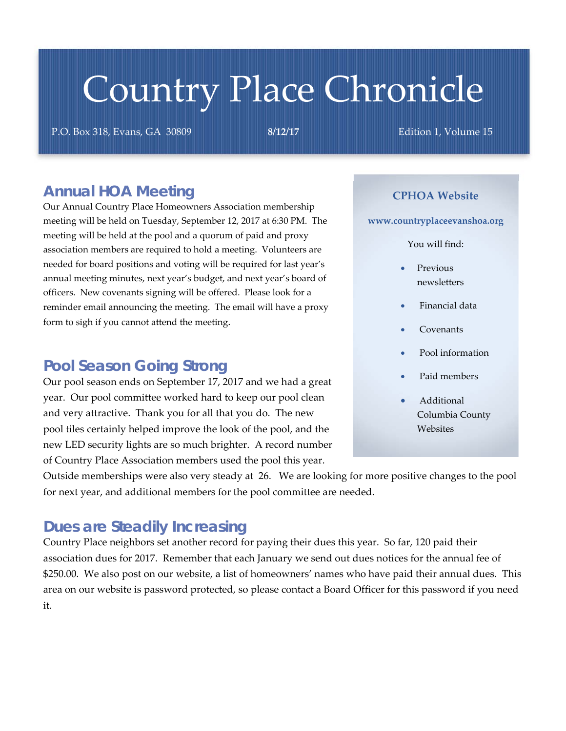# Country Place Chronicle

P.O. Box 318, Evans, GA 30809 **8/12/17** Edition 1, Volume 15

#### *Annual HOA Meeting*

Our Annual Country Place Homeowners Association membership meeting will be held on Tuesday, September 12, 2017 at 6:30 PM. The meeting will be held at the pool and a quorum of paid and proxy association members are required to hold a meeting. Volunteers are needed for board positions and voting will be required for last year's annual meeting minutes, next year's budget, and next year's board of officers. New covenants signing will be offered. Please look for a reminder email announcing the meeting. The email will have a proxy form to sigh if you cannot attend the meeting.

#### *Pool Season Going Strong*

Our pool season ends on September 17, 2017 and we had a great year. Our pool committee worked hard to keep our pool clean and very attractive. Thank you for all that you do. The new pool tiles certainly helped improve the look of the pool, and the new LED security lights are so much brighter. A record number of Country Place Association members used the pool this year.

#### **CPHOA Website**

**www.countryplaceevanshoa.org**

You will find:

- Previous newsletters
- Financial data
- Covenants
- Pool information
- Paid members
- Additional Columbia County **Websites**

Outside memberships were also very steady at 26. We are looking for more positive changes to the pool for next year, and additional members for the pool committee are needed.

#### *Dues are Steadily Increasing*

Country Place neighbors set another record for paying their dues this year. So far, 120 paid their association dues for 2017. Remember that each January we send out dues notices for the annual fee of \$250.00. We also post on our website, a list of homeowners' names who have paid their annual dues. This area on our website is password protected, so please contact a Board Officer for this password if you need it.